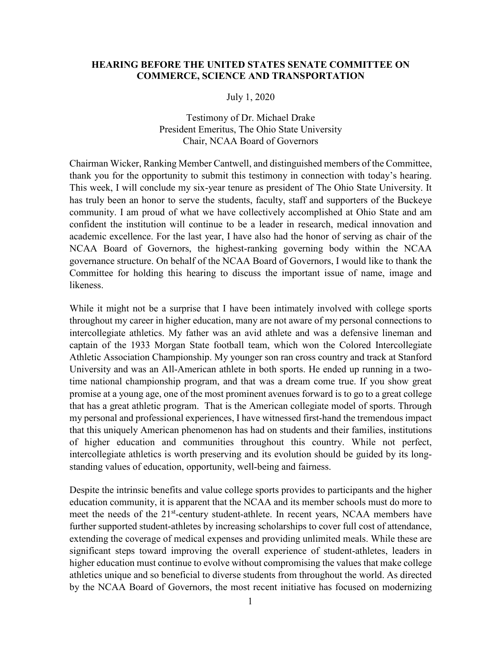#### **HEARING BEFORE THE UNITED STATES SENATE COMMITTEE ON COMMERCE, SCIENCE AND TRANSPORTATION**

#### July 1, 2020

### Testimony of Dr. Michael Drake President Emeritus, The Ohio State University Chair, NCAA Board of Governors

Chairman Wicker, Ranking Member Cantwell, and distinguished members of the Committee, thank you for the opportunity to submit this testimony in connection with today's hearing. This week, I will conclude my six-year tenure as president of The Ohio State University. It has truly been an honor to serve the students, faculty, staff and supporters of the Buckeye community. I am proud of what we have collectively accomplished at Ohio State and am confident the institution will continue to be a leader in research, medical innovation and academic excellence. For the last year, I have also had the honor of serving as chair of the NCAA Board of Governors, the highest-ranking governing body within the NCAA governance structure. On behalf of the NCAA Board of Governors, I would like to thank the Committee for holding this hearing to discuss the important issue of name, image and likeness.

While it might not be a surprise that I have been intimately involved with college sports throughout my career in higher education, many are not aware of my personal connections to intercollegiate athletics. My father was an avid athlete and was a defensive lineman and captain of the 1933 Morgan State football team, which won the Colored Intercollegiate Athletic Association Championship. My younger son ran cross country and track at Stanford University and was an All-American athlete in both sports. He ended up running in a twotime national championship program, and that was a dream come true. If you show great promise at a young age, one of the most prominent avenues forward is to go to a great college that has a great athletic program. That is the American collegiate model of sports. Through my personal and professional experiences, I have witnessed first-hand the tremendous impact that this uniquely American phenomenon has had on students and their families, institutions of higher education and communities throughout this country. While not perfect, intercollegiate athletics is worth preserving and its evolution should be guided by its longstanding values of education, opportunity, well-being and fairness.

Despite the intrinsic benefits and value college sports provides to participants and the higher education community, it is apparent that the NCAA and its member schools must do more to meet the needs of the 21<sup>st</sup>-century student-athlete. In recent years, NCAA members have further supported student-athletes by increasing scholarships to cover full cost of attendance, extending the coverage of medical expenses and providing unlimited meals. While these are significant steps toward improving the overall experience of student-athletes, leaders in higher education must continue to evolve without compromising the values that make college athletics unique and so beneficial to diverse students from throughout the world. As directed by the NCAA Board of Governors, the most recent initiative has focused on modernizing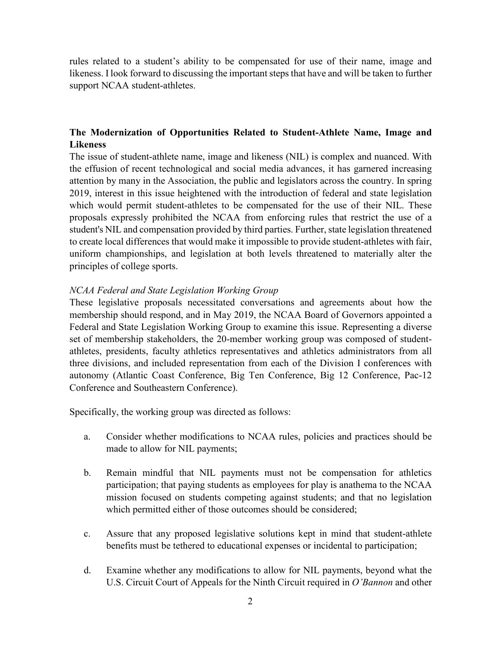rules related to a student's ability to be compensated for use of their name, image and likeness. I look forward to discussing the important steps that have and will be taken to further support NCAA student-athletes.

# **The Modernization of Opportunities Related to Student-Athlete Name, Image and Likeness**

The issue of student-athlete name, image and likeness (NIL) is complex and nuanced. With the effusion of recent technological and social media advances, it has garnered increasing attention by many in the Association, the public and legislators across the country. In spring 2019, interest in this issue heightened with the introduction of federal and state legislation which would permit student-athletes to be compensated for the use of their NIL. These proposals expressly prohibited the NCAA from enforcing rules that restrict the use of a student's NIL and compensation provided by third parties. Further, state legislation threatened to create local differences that would make it impossible to provide student-athletes with fair, uniform championships, and legislation at both levels threatened to materially alter the principles of college sports.

### *NCAA Federal and State Legislation Working Group*

These legislative proposals necessitated conversations and agreements about how the membership should respond, and in May 2019, the NCAA Board of Governors appointed a Federal and State Legislation Working Group to examine this issue. Representing a diverse set of membership stakeholders, the 20-member working group was composed of studentathletes, presidents, faculty athletics representatives and athletics administrators from all three divisions, and included representation from each of the Division I conferences with autonomy (Atlantic Coast Conference, Big Ten Conference, Big 12 Conference, Pac-12 Conference and Southeastern Conference).

Specifically, the working group was directed as follows:

- a. Consider whether modifications to NCAA rules, policies and practices should be made to allow for NIL payments;
- b. Remain mindful that NIL payments must not be compensation for athletics participation; that paying students as employees for play is anathema to the NCAA mission focused on students competing against students; and that no legislation which permitted either of those outcomes should be considered;
- c. Assure that any proposed legislative solutions kept in mind that student-athlete benefits must be tethered to educational expenses or incidental to participation;
- d. Examine whether any modifications to allow for NIL payments, beyond what the U.S. Circuit Court of Appeals for the Ninth Circuit required in *O'Bannon* and other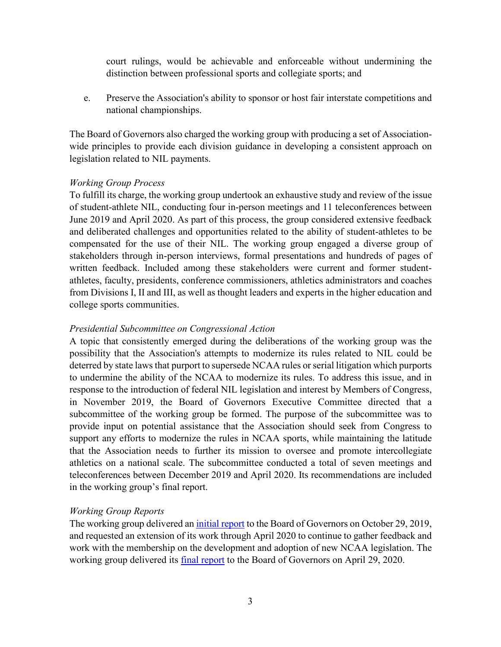court rulings, would be achievable and enforceable without undermining the distinction between professional sports and collegiate sports; and

e. Preserve the Association's ability to sponsor or host fair interstate competitions and national championships.

The Board of Governors also charged the working group with producing a set of Associationwide principles to provide each division guidance in developing a consistent approach on legislation related to NIL payments.

### *Working Group Process*

To fulfill its charge, the working group undertook an exhaustive study and review of the issue of student-athlete NIL, conducting four in-person meetings and 11 teleconferences between June 2019 and April 2020. As part of this process, the group considered extensive feedback and deliberated challenges and opportunities related to the ability of student-athletes to be compensated for the use of their NIL. The working group engaged a diverse group of stakeholders through in-person interviews, formal presentations and hundreds of pages of written feedback. Included among these stakeholders were current and former studentathletes, faculty, presidents, conference commissioners, athletics administrators and coaches from Divisions I, II and III, as well as thought leaders and experts in the higher education and college sports communities.

## *Presidential Subcommittee on Congressional Action*

A topic that consistently emerged during the deliberations of the working group was the possibility that the Association's attempts to modernize its rules related to NIL could be deterred by state laws that purport to supersede NCAA rules or serial litigation which purports to undermine the ability of the NCAA to modernize its rules. To address this issue, and in response to the introduction of federal NIL legislation and interest by Members of Congress, in November 2019, the Board of Governors Executive Committee directed that a subcommittee of the working group be formed. The purpose of the subcommittee was to provide input on potential assistance that the Association should seek from Congress to support any efforts to modernize the rules in NCAA sports, while maintaining the latitude that the Association needs to further its mission to oversee and promote intercollegiate athletics on a national scale. The subcommittee conducted a total of seven meetings and teleconferences between December 2019 and April 2020. Its recommendations are included in the working group's final report.

# *Working Group Reports*

The working group delivered an [initial report](https://ncaaorg.s3.amazonaws.com/committees/ncaa/exec_boardgov/Oct2019BOG_FSLWGReport.pdf) to the Board of Governors on October 29, 2019, and requested an extension of its work through April 2020 to continue to gather feedback and work with the membership on the development and adoption of new NCAA legislation. The working group delivered its [final report](https://ncaaorg.s3.amazonaws.com/committees/ncaa/wrkgrps/fslwg/Apr2020FSLWG_Report.pdf) to the Board of Governors on April 29, 2020.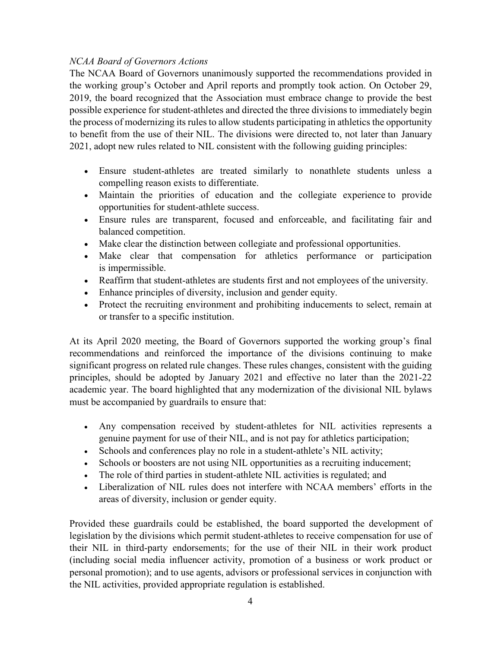# *NCAA Board of Governors Actions*

The NCAA Board of Governors unanimously supported the recommendations provided in the working group's October and April reports and promptly took action. On October 29, 2019, the board recognized that the Association must embrace change to provide the best possible experience for student-athletes and directed the three divisions to immediately begin the process of modernizing its rules to allow students participating in athletics the opportunity to benefit from the use of their NIL. The divisions were directed to, not later than January 2021, adopt new rules related to NIL consistent with the following guiding principles:

- Ensure student-athletes are treated similarly to nonathlete students unless a compelling reason exists to differentiate.
- Maintain the priorities of education and the collegiate experience to provide opportunities for student-athlete success.
- Ensure rules are transparent, focused and enforceable, and facilitating fair and balanced competition.
- Make clear the distinction between collegiate and professional opportunities.
- Make clear that compensation for athletics performance or participation is impermissible.
- Reaffirm that student-athletes are students first and not employees of the university.
- Enhance principles of diversity, inclusion and gender equity.
- Protect the recruiting environment and prohibiting inducements to select, remain at or transfer to a specific institution.

At its April 2020 meeting, the Board of Governors supported the working group's final recommendations and reinforced the importance of the divisions continuing to make significant progress on related rule changes. These rules changes, consistent with the guiding principles, should be adopted by January 2021 and effective no later than the 2021-22 academic year. The board highlighted that any modernization of the divisional NIL bylaws must be accompanied by guardrails to ensure that:

- Any compensation received by student-athletes for NIL activities represents a genuine payment for use of their NIL, and is not pay for athletics participation;
- Schools and conferences play no role in a student-athlete's NIL activity;
- Schools or boosters are not using NIL opportunities as a recruiting inducement;
- The role of third parties in student-athlete NIL activities is regulated; and
- Liberalization of NIL rules does not interfere with NCAA members' efforts in the areas of diversity, inclusion or gender equity.

Provided these guardrails could be established, the board supported the development of legislation by the divisions which permit student-athletes to receive compensation for use of their NIL in third-party endorsements; for the use of their NIL in their work product (including social media influencer activity, promotion of a business or work product or personal promotion); and to use agents, advisors or professional services in conjunction with the NIL activities, provided appropriate regulation is established.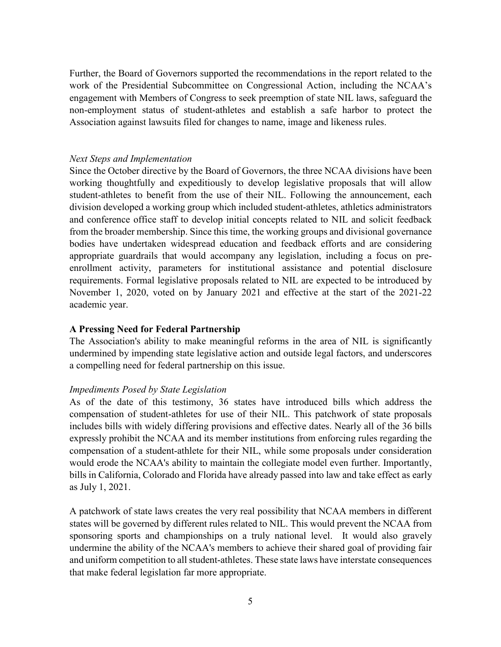Further, the Board of Governors supported the recommendations in the report related to the work of the Presidential Subcommittee on Congressional Action, including the NCAA's engagement with Members of Congress to seek preemption of state NIL laws, safeguard the non-employment status of student-athletes and establish a safe harbor to protect the Association against lawsuits filed for changes to name, image and likeness rules.

### *Next Steps and Implementation*

Since the October directive by the Board of Governors, the three NCAA divisions have been working thoughtfully and expeditiously to develop legislative proposals that will allow student-athletes to benefit from the use of their NIL. Following the announcement, each division developed a working group which included student-athletes, athletics administrators and conference office staff to develop initial concepts related to NIL and solicit feedback from the broader membership. Since this time, the working groups and divisional governance bodies have undertaken widespread education and feedback efforts and are considering appropriate guardrails that would accompany any legislation, including a focus on preenrollment activity, parameters for institutional assistance and potential disclosure requirements. Formal legislative proposals related to NIL are expected to be introduced by November 1, 2020, voted on by January 2021 and effective at the start of the 2021-22 academic year.

### **A Pressing Need for Federal Partnership**

The Association's ability to make meaningful reforms in the area of NIL is significantly undermined by impending state legislative action and outside legal factors, and underscores a compelling need for federal partnership on this issue.

### *Impediments Posed by State Legislation*

As of the date of this testimony, 36 states have introduced bills which address the compensation of student-athletes for use of their NIL. This patchwork of state proposals includes bills with widely differing provisions and effective dates. Nearly all of the 36 bills expressly prohibit the NCAA and its member institutions from enforcing rules regarding the compensation of a student-athlete for their NIL, while some proposals under consideration would erode the NCAA's ability to maintain the collegiate model even further. Importantly, bills in California, Colorado and Florida have already passed into law and take effect as early as July 1, 2021.

A patchwork of state laws creates the very real possibility that NCAA members in different states will be governed by different rules related to NIL. This would prevent the NCAA from sponsoring sports and championships on a truly national level. It would also gravely undermine the ability of the NCAA's members to achieve their shared goal of providing fair and uniform competition to all student-athletes. These state laws have interstate consequences that make federal legislation far more appropriate.